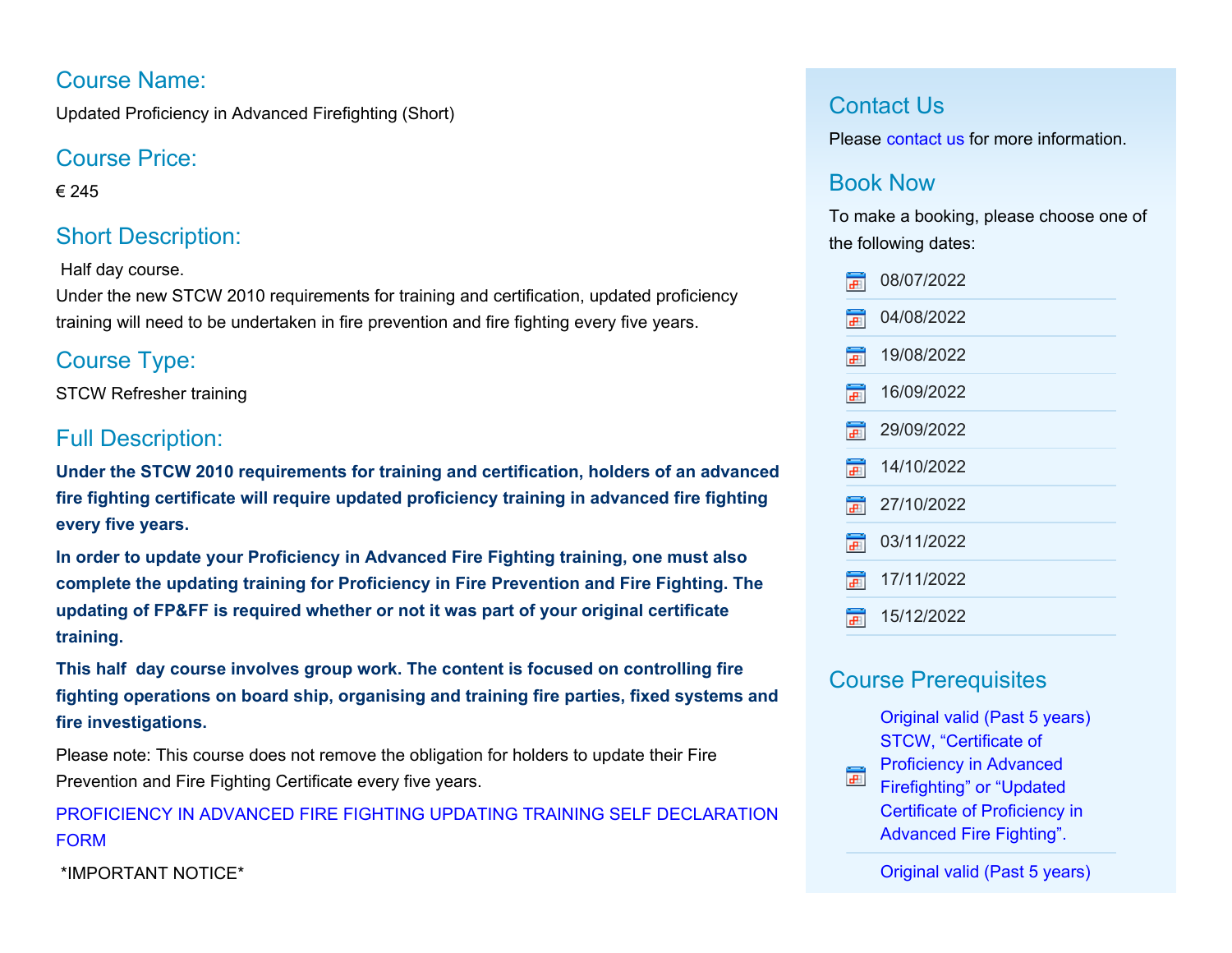### Course Name:

Updated Proficiency in Advanced Firefighting (Short)

## Course Price:

€ 245

# Short Description:

Half day course.

Under the new STCW 2010 requirements for training and certification, updated proficiency training will need to be undertaken in fire prevention and fire fighting every five years.

# Course Type:

STCW Refresher training

# Full Description:

**Under the STCW 2010 requirements for training and certification, holders of an advanced fire fighting certificate will require updated proficiency training in advanced fire fighting every five years.**

**In order to update your Proficiency in Advanced Fire Fighting training, one must also complete the updating training for Proficiency in Fire Prevention and Fire Fighting. The updating of FP&FF is required whether or not it was part of your original certificate training.**

**This half day course involves group work. The content is focused on controlling fire fighting operations on board ship, organising and training fire parties, fixed systems and fire investigations.**

Please note: This course does not remove the obligation for holders to update their Fire Prevention and Fire Fighting Certificate every five years.

[PROFICIENCY IN ADVANCED FIRE FIGHTING UPDATING TRAINING SELF DECLARATION](http://www.nmci.ie/contentFiles/F064_ADV_FF_Declaration.pdf) [FORM](http://www.nmci.ie/contentFiles/F064_ADV_FF_Declaration.pdf)

\*IMPORTANT NOTICE\*

### Contact Us

Please [contact us](http://www.nmci.ie/index.cfm/page/contactdetails/cid/48700238) for more information.

## Book Now

To make a booking, please choose one of the following dates:

| Ŧ                    | 08/07/2022 |  |
|----------------------|------------|--|
| Ŧ                    | 04/08/2022 |  |
| Ŧ                    | 19/08/2022 |  |
| $\frac{1}{\sqrt{2}}$ | 16/09/2022 |  |
| $\mathbf{F}$         | 29/09/2022 |  |
| $\overline{+}$       | 14/10/2022 |  |
| Ħ                    | 27/10/2022 |  |
| Ħ                    | 03/11/2022 |  |
| स                    | 17/11/2022 |  |
| æ                    | 15/12/2022 |  |

## Course Prerequisites

[Original valid \(Past 5 years\)](javascript:CommercialCourse.Prerequisites.PrerequisiteInfo( 48700238,1 )) [STCW, "Certificate of](javascript:CommercialCourse.Prerequisites.PrerequisiteInfo( 48700238,1 ))

[Proficiency in Advanced](javascript:CommercialCourse.Prerequisites.PrerequisiteInfo( 48700238,1 )) F [Firefighting" or "Updated](javascript:CommercialCourse.Prerequisites.PrerequisiteInfo( 48700238,1 )) [Certificate of Proficiency in](javascript:CommercialCourse.Prerequisites.PrerequisiteInfo( 48700238,1 )) [Advanced Fire Fighting".](javascript:CommercialCourse.Prerequisites.PrerequisiteInfo( 48700238,1 ))

[Original valid \(Past 5 years\)](javascript:CommercialCourse.Prerequisites.PrerequisiteInfo( 48700238,2 ))